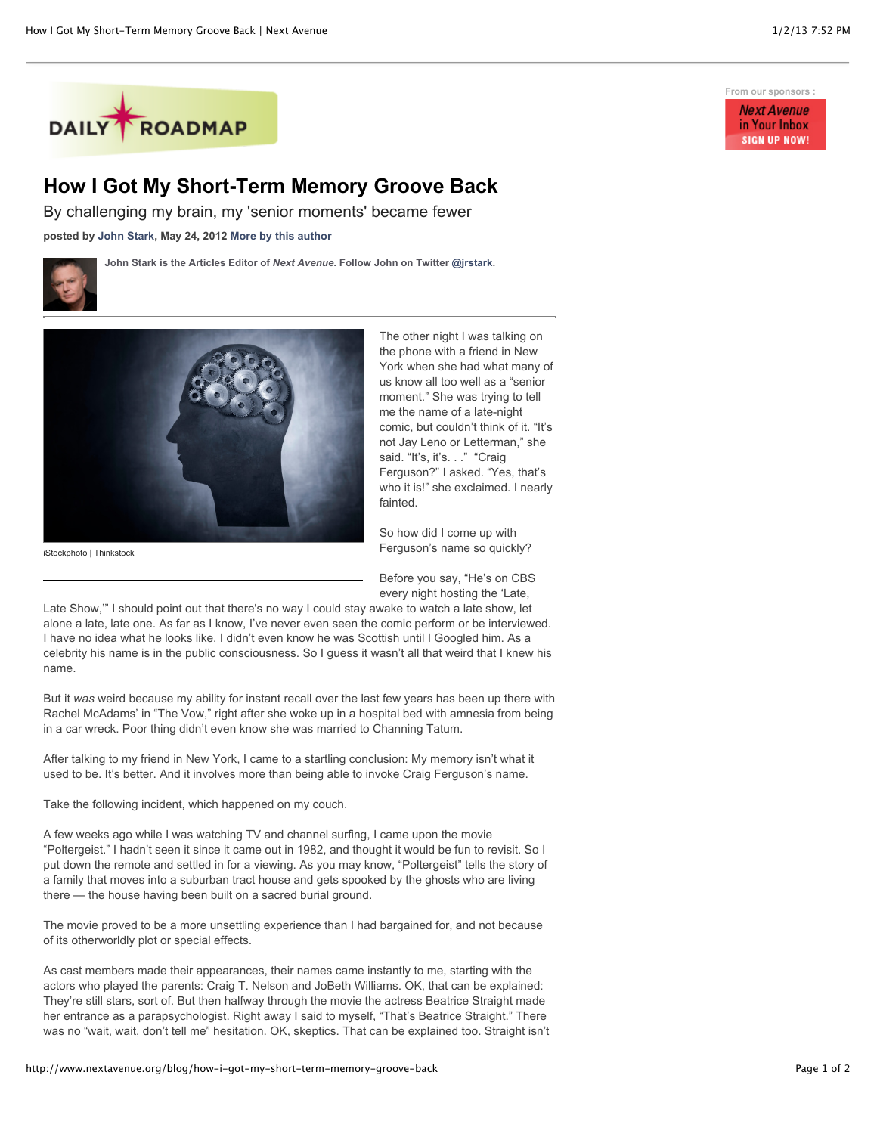

## **How I Got My Short-Term Memory Groove Back**

**John Stark is the Articles Editor of** *Next Avenue***. Follow John on Twitter [@jrstark.](http://twitter.com/jrstark)**

By challenging my brain, my 'senior moments' became fewer

**posted by [John Stark,](http://www.nextavenue.org/staff/john-stark) May 24, 2012 [More by this author](http://www.nextavenue.org/staff/john-stark)**



iStockphoto | Thinkstock



The other night I was talking on the phone with a friend in New York when she had what many of us know all too well as a "senior moment." She was trying to tell me the name of a late-night comic, but couldn't think of it. "It's not Jay Leno or Letterman," she said. "It's, it's. . ." "Craig Ferguson?" I asked. "Yes, that's who it is!" she exclaimed. I nearly fainted.

So how did I come up with Ferguson's name so quickly?

Before you say, "He's on CBS every night hosting the 'Late,

Late Show,'" I should point out that there's no way I could stay awake to watch a late show, let alone a late, late one. As far as I know, I've never even seen the comic perform or be interviewed. I have no idea what he looks like. I didn't even know he was Scottish until I Googled him. As a celebrity his name is in the public consciousness. So I guess it wasn't all that weird that I knew his name.

But it *was* weird because my ability for instant recall over the last few years has been up there with Rachel McAdams' in "The Vow," right after she woke up in a hospital bed with amnesia from being in a car wreck. Poor thing didn't even know she was married to Channing Tatum.

After talking to my friend in New York, I came to a startling conclusion: My memory isn't what it used to be. It's better. And it involves more than being able to invoke Craig Ferguson's name.

Take the following incident, which happened on my couch.

A few weeks ago while I was watching TV and channel surfing, I came upon the movie "Poltergeist." I hadn't seen it since it came out in 1982, and thought it would be fun to revisit. So I put down the remote and settled in for a viewing. As you may know, "Poltergeist" tells the story of a family that moves into a suburban tract house and gets spooked by the ghosts who are living there — the house having been built on a sacred burial ground.

The movie proved to be a more unsettling experience than I had bargained for, and not because of its otherworldly plot or special effects.

As cast members made their appearances, their names came instantly to me, starting with the actors who played the parents: Craig T. Nelson and JoBeth Williams. OK, that can be explained: They're still stars, sort of. But then halfway through the movie the actress Beatrice Straight made her entrance as a parapsychologist. Right away I said to myself, "That's Beatrice Straight." There was no "wait, wait, don't tell me" hesitation. OK, skeptics. That can be explained too. Straight isn't